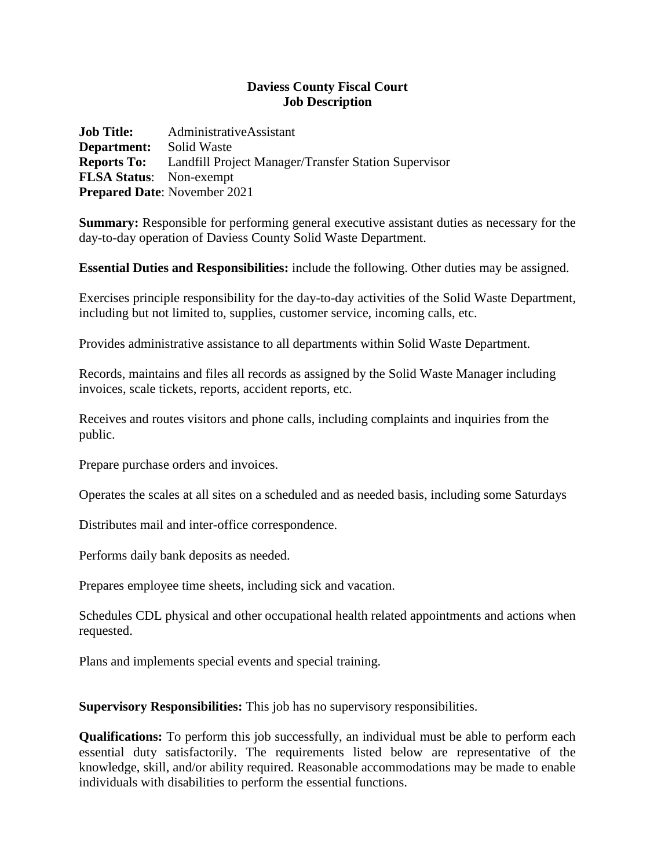## **Daviess County Fiscal Court Job Description**

**Job Title:** AdministrativeAssistant **Department:** Solid Waste **Reports To:** Landfill Project Manager/Transfer Station Supervisor **FLSA Status**: Non-exempt **Prepared Date**: November 2021

**Summary:** Responsible for performing general executive assistant duties as necessary for the day-to-day operation of Daviess County Solid Waste Department.

**Essential Duties and Responsibilities:** include the following. Other duties may be assigned.

Exercises principle responsibility for the day-to-day activities of the Solid Waste Department, including but not limited to, supplies, customer service, incoming calls, etc.

Provides administrative assistance to all departments within Solid Waste Department.

Records, maintains and files all records as assigned by the Solid Waste Manager including invoices, scale tickets, reports, accident reports, etc.

Receives and routes visitors and phone calls, including complaints and inquiries from the public.

Prepare purchase orders and invoices.

Operates the scales at all sites on a scheduled and as needed basis, including some Saturdays

Distributes mail and inter-office correspondence.

Performs daily bank deposits as needed.

Prepares employee time sheets, including sick and vacation.

Schedules CDL physical and other occupational health related appointments and actions when requested.

Plans and implements special events and special training.

**Supervisory Responsibilities:** This job has no supervisory responsibilities.

**Qualifications:** To perform this job successfully, an individual must be able to perform each essential duty satisfactorily. The requirements listed below are representative of the knowledge, skill, and/or ability required. Reasonable accommodations may be made to enable individuals with disabilities to perform the essential functions.